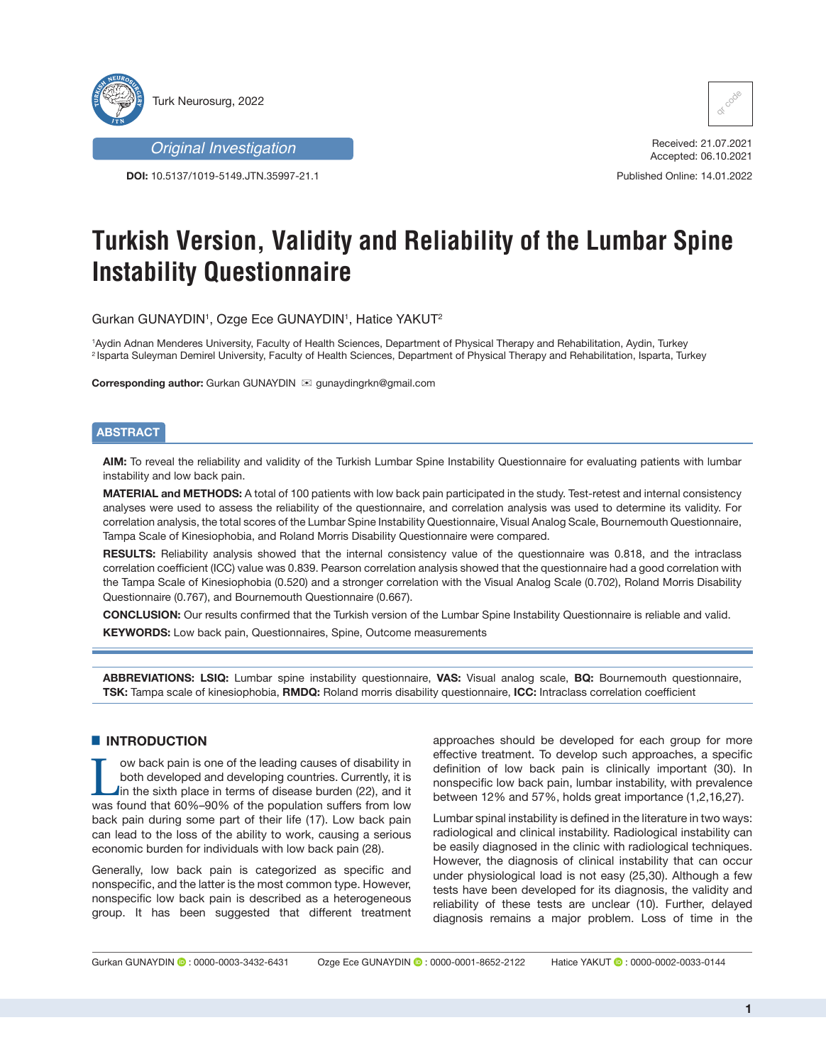



**DOI:** 10.5137/1019-5149.JTN.35997-21.1



Received: 21.07.2021 Accepted: 06.10.2021

Published Online: 14.01.2022

# **Turkish Version, Validity and Reliability of the Lumbar Spine Instability Questionnaire**

Gurkan GUNAYDIN1 , Ozge Ece GUNAYDIN1 , Hatice YAKUT2

1 Aydin Adnan Menderes University, Faculty of Health Sciences, Department of Physical Therapy and Rehabilitation, Aydin, Turkey 2 Isparta Suleyman Demirel University, Faculty of Health Sciences, Department of Physical Therapy and Rehabilitation, Isparta, Turkey

**Corresponding author:** Gurkan GUNAYDIN **⊠** gunaydingrkn@gmail.com

# **ABSTRACT**

**AIM:** To reveal the reliability and validity of the Turkish Lumbar Spine Instability Questionnaire for evaluating patients with lumbar instability and low back pain.

**MATERIAL and METHODS:** A total of 100 patients with low back pain participated in the study. Test-retest and internal consistency analyses were used to assess the reliability of the questionnaire, and correlation analysis was used to determine its validity. For correlation analysis, the total scores of the Lumbar Spine Instability Questionnaire, Visual Analog Scale, Bournemouth Questionnaire, Tampa Scale of Kinesiophobia, and Roland Morris Disability Questionnaire were compared.

**RESULTS:** Reliability analysis showed that the internal consistency value of the questionnaire was 0.818, and the intraclass correlation coefficient (ICC) value was 0.839. Pearson correlation analysis showed that the questionnaire had a good correlation with the Tampa Scale of Kinesiophobia (0.520) and a stronger correlation with the Visual Analog Scale (0.702), Roland Morris Disability Questionnaire (0.767), and Bournemouth Questionnaire (0.667).

**CONCLUSION:** Our results confirmed that the Turkish version of the Lumbar Spine Instability Questionnaire is reliable and valid. **KEYWORDS:** Low back pain, Questionnaires, Spine, Outcome measurements

**ABBREVIATIONS: LSIQ:** Lumbar spine instability questionnaire, **VAS:** Visual analog scale, **BQ:** Bournemouth questionnaire, **TSK:** Tampa scale of kinesiophobia, **RMDQ:** Roland morris disability questionnaire, **ICC:** Intraclass correlation coefficient

# $\blacksquare$  **INTRODUCTION**

I ow back pain is one of the leading causes of disability in<br>
both developed and developing countries. Currently, it is<br>
in the sixth place in terms of disease burden (22), and it<br>
was found that 60%-90% of the population both developed and developing countries. Currently, it is was found that 60%–90% of the population suffers from low back pain during some part of their life (17). Low back pain can lead to the loss of the ability to work, causing a serious economic burden for individuals with low back pain (28).

Generally, low back pain is categorized as specific and nonspecific, and the latter is the most common type. However, nonspecific low back pain is described as a heterogeneous group. It has been suggested that different treatment

approaches should be developed for each group for more effective treatment. To develop such approaches, a specific definition of low back pain is clinically important (30). In nonspecific low back pain, lumbar instability, with prevalence between 12% and 57%, holds great importance (1,2,16,27).

Lumbar spinal instability is defined in the literature in two ways: radiological and clinical instability. Radiological instability can be easily diagnosed in the clinic with radiological techniques. However, the diagnosis of clinical instability that can occur under physiological load is not easy (25,30). Although a few tests have been developed for its diagnosis, the validity and reliability of these tests are unclear (10). Further, delayed diagnosis remains a major problem. Loss of time in the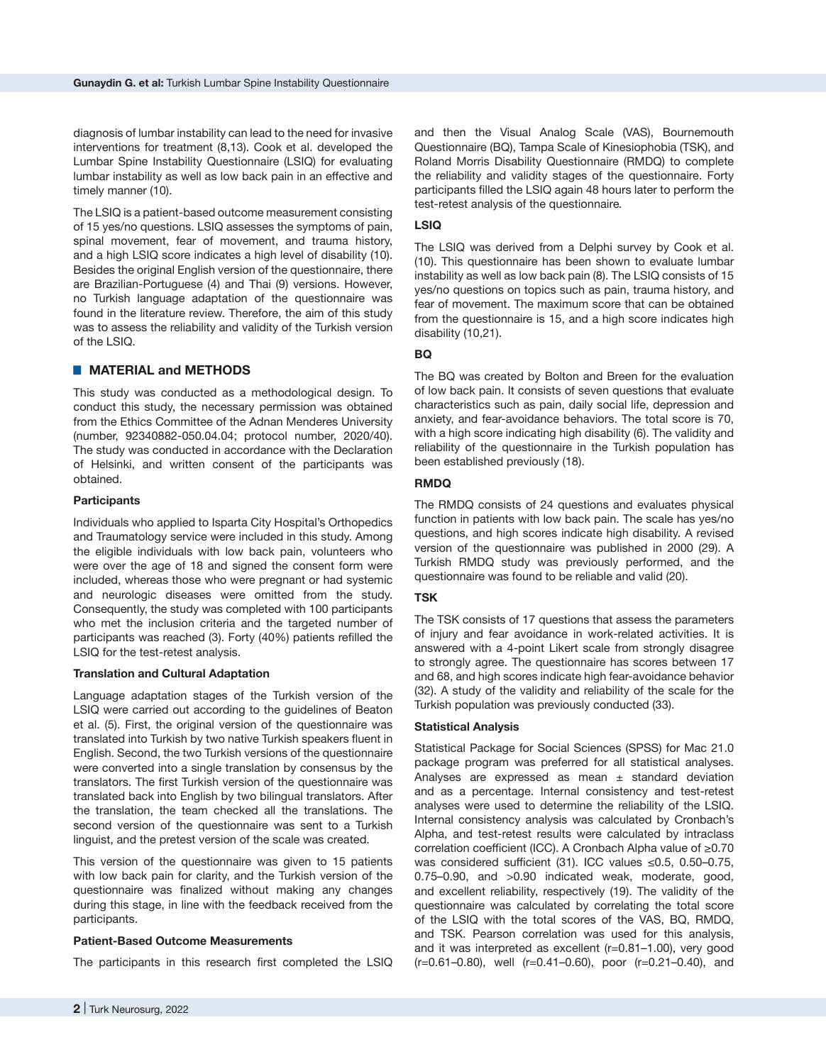diagnosis of lumbar instability can lead to the need for invasive interventions for treatment (8,13). Cook et al. developed the Lumbar Spine Instability Questionnaire (LSIQ) for evaluating lumbar instability as well as low back pain in an effective and timely manner (10).

The LSIQ is a patient-based outcome measurement consisting of 15 yes/no questions. LSIQ assesses the symptoms of pain, spinal movement, fear of movement, and trauma history, and a high LSIQ score indicates a high level of disability (10). Besides the original English version of the questionnaire, there are Brazilian-Portuguese (4) and Thai (9) versions. However, no Turkish language adaptation of the questionnaire was found in the literature review. Therefore, the aim of this study was to assess the reliability and validity of the Turkish version of the LSIQ.

# ■ **MATERIAL and METHODS**

This study was conducted as a methodological design. To conduct this study, the necessary permission was obtained from the Ethics Committee of the Adnan Menderes University (number, 92340882-050.04.04; protocol number, 2020/40). The study was conducted in accordance with the Declaration of Helsinki, and written consent of the participants was obtained.

## **Participants**

Individuals who applied to Isparta City Hospital's Orthopedics and Traumatology service were included in this study. Among the eligible individuals with low back pain, volunteers who were over the age of 18 and signed the consent form were included, whereas those who were pregnant or had systemic and neurologic diseases were omitted from the study. Consequently, the study was completed with 100 participants who met the inclusion criteria and the targeted number of participants was reached (3). Forty (40%) patients refilled the LSIQ for the test-retest analysis.

## **Translation and Cultural Adaptation**

Language adaptation stages of the Turkish version of the LSIQ were carried out according to the guidelines of Beaton et al. (5). First, the original version of the questionnaire was translated into Turkish by two native Turkish speakers fluent in English. Second, the two Turkish versions of the questionnaire were converted into a single translation by consensus by the translators. The first Turkish version of the questionnaire was translated back into English by two bilingual translators. After the translation, the team checked all the translations. The second version of the questionnaire was sent to a Turkish linguist, and the pretest version of the scale was created.

This version of the questionnaire was given to 15 patients with low back pain for clarity, and the Turkish version of the questionnaire was finalized without making any changes during this stage, in line with the feedback received from the participants.

## **Patient-Based Outcome Measurements**

The participants in this research first completed the LSIQ

and then the Visual Analog Scale (VAS), Bournemouth Questionnaire (BQ), Tampa Scale of Kinesiophobia (TSK), and Roland Morris Disability Questionnaire (RMDQ) to complete the reliability and validity stages of the questionnaire. Forty participants filled the LSIQ again 48 hours later to perform the test-retest analysis of the questionnaire*.*

## **LSIQ**

The LSIQ was derived from a Delphi survey by Cook et al. (10). This questionnaire has been shown to evaluate lumbar instability as well as low back pain (8). The LSIQ consists of 15 yes/no questions on topics such as pain, trauma history, and fear of movement. The maximum score that can be obtained from the questionnaire is 15, and a high score indicates high disability (10,21).

# **BQ**

The BQ was created by Bolton and Breen for the evaluation of low back pain. It consists of seven questions that evaluate characteristics such as pain, daily social life, depression and anxiety, and fear-avoidance behaviors. The total score is 70, with a high score indicating high disability (6). The validity and reliability of the questionnaire in the Turkish population has been established previously (18).

## **RMDQ**

The RMDQ consists of 24 questions and evaluates physical function in patients with low back pain. The scale has yes/no questions, and high scores indicate high disability. A revised version of the questionnaire was published in 2000 (29). A Turkish RMDQ study was previously performed, and the questionnaire was found to be reliable and valid (20).

# **TSK**

The TSK consists of 17 questions that assess the parameters of injury and fear avoidance in work-related activities. It is answered with a 4-point Likert scale from strongly disagree to strongly agree. The questionnaire has scores between 17 and 68, and high scores indicate high fear-avoidance behavior (32). A study of the validity and reliability of the scale for the Turkish population was previously conducted (33).

#### **Statistical Analysis**

Statistical Package for Social Sciences (SPSS) for Mac 21.0 package program was preferred for all statistical analyses. Analyses are expressed as mean  $\pm$  standard deviation and as a percentage. Internal consistency and test-retest analyses were used to determine the reliability of the LSIQ. Internal consistency analysis was calculated by Cronbach's Alpha, and test-retest results were calculated by intraclass correlation coefficient (ICC). A Cronbach Alpha value of ≥0.70 was considered sufficient (31). ICC values ≤0.5, 0.50–0.75, 0.75–0.90, and >0.90 indicated weak, moderate, good, and excellent reliability, respectively (19). The validity of the questionnaire was calculated by correlating the total score of the LSIQ with the total scores of the VAS, BQ, RMDQ, and TSK. Pearson correlation was used for this analysis, and it was interpreted as excellent (r=0.81–1.00), very good (r=0.61–0.80), well (r=0.41–0.60), poor (r=0.21–0.40), and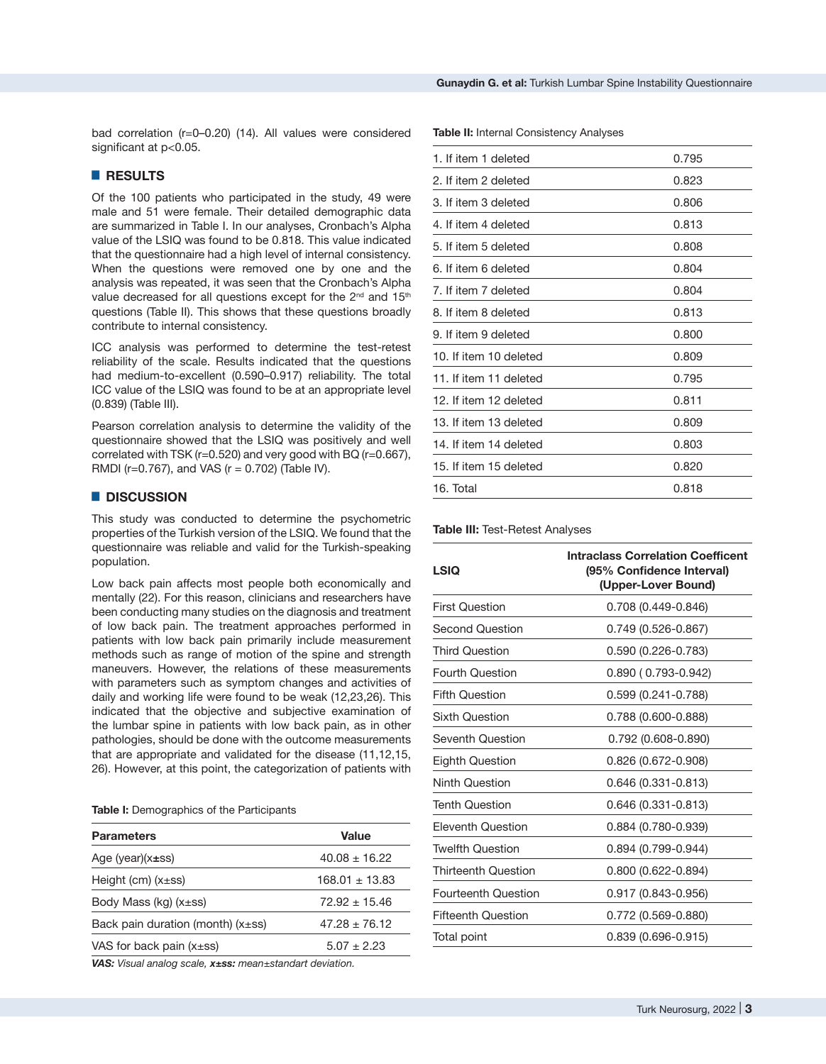bad correlation (r=0–0.20) (14). All values were considered significant at p<0.05.

# █ **RESULTS**

Of the 100 patients who participated in the study, 49 were male and 51 were female. Their detailed demographic data are summarized in Table I. In our analyses, Cronbach's Alpha value of the LSIQ was found to be 0.818. This value indicated that the questionnaire had a high level of internal consistency. When the questions were removed one by one and the analysis was repeated, it was seen that the Cronbach's Alpha value decreased for all questions except for the  $2^{nd}$  and  $15^{th}$ questions (Table II). This shows that these questions broadly contribute to internal consistency.

ICC analysis was performed to determine the test-retest reliability of the scale. Results indicated that the questions had medium-to-excellent (0.590–0.917) reliability. The total ICC value of the LSIQ was found to be at an appropriate level (0.839) (Table III).

Pearson correlation analysis to determine the validity of the questionnaire showed that the LSIQ was positively and well correlated with TSK (r=0.520) and very good with BQ (r=0.667), RMDI ( $r=0.767$ ), and VAS ( $r = 0.702$ ) (Table IV).

## █ **DISCUSSION**

This study was conducted to determine the psychometric properties of the Turkish version of the LSIQ. We found that the questionnaire was reliable and valid for the Turkish-speaking population.

Low back pain affects most people both economically and mentally (22). For this reason, clinicians and researchers have been conducting many studies on the diagnosis and treatment of low back pain. The treatment approaches performed in patients with low back pain primarily include measurement methods such as range of motion of the spine and strength maneuvers. However, the relations of these measurements with parameters such as symptom changes and activities of daily and working life were found to be weak (12,23,26). This indicated that the objective and subjective examination of the lumbar spine in patients with low back pain, as in other pathologies, should be done with the outcome measurements that are appropriate and validated for the disease (11,12,15, 26). However, at this point, the categorization of patients with

**Table I:** Demographics of the Participants

| <b>Parameters</b>                      | Value              |  |
|----------------------------------------|--------------------|--|
| Age (year) $(x\pm ss)$                 | $40.08 \pm 16.22$  |  |
| Height (cm) $(x\pm ss)$                | $168.01 \pm 13.83$ |  |
| Body Mass (kg) $(x\pm ss)$             | $72.92 + 15.46$    |  |
| Back pain duration (month) $(x\pm ss)$ | $47.28 + 76.12$    |  |
| VAS for back pain $(x\pm ss)$          | $5.07 + 2.23$      |  |

*VAS: Visual analog scale, x±ss: mean±standart deviation.*

**Table II:** Internal Consistency Analyses

| 1. If item 1 deleted   | 0.795 |
|------------------------|-------|
| 2. If item 2 deleted   | 0.823 |
| 3. If item 3 deleted   | 0.806 |
| 4. If item 4 deleted   | 0.813 |
| 5. If item 5 deleted   | 0.808 |
| 6. If item 6 deleted   | 0.804 |
| 7. If item 7 deleted   | 0.804 |
| 8. If item 8 deleted   | 0.813 |
| 9. If item 9 deleted   | 0.800 |
| 10. If item 10 deleted | 0.809 |
| 11. If item 11 deleted | 0.795 |
| 12. If item 12 deleted | 0.811 |
| 13. If item 13 deleted | 0.809 |
| 14. If item 14 deleted | 0.803 |
| 15. If item 15 deleted | 0.820 |
| 16. Total              | 0.818 |

### **Table III:** Test-Retest Analyses

| <b>LSIQ</b>                | <b>Intraclass Correlation Coefficent</b><br>(95% Confidence Interval)<br>(Upper-Lover Bound) |  |  |
|----------------------------|----------------------------------------------------------------------------------------------|--|--|
| <b>First Question</b>      | 0.708 (0.449-0.846)                                                                          |  |  |
| Second Question            | 0.749 (0.526-0.867)                                                                          |  |  |
| <b>Third Question</b>      | 0.590 (0.226-0.783)                                                                          |  |  |
| <b>Fourth Question</b>     | $0.890(0.793 - 0.942)$                                                                       |  |  |
| <b>Fifth Question</b>      | 0.599 (0.241-0.788)                                                                          |  |  |
| <b>Sixth Question</b>      | 0.788 (0.600-0.888)                                                                          |  |  |
| <b>Seventh Question</b>    | $0.792(0.608 - 0.890)$                                                                       |  |  |
| <b>Eighth Question</b>     | 0.826 (0.672-0.908)                                                                          |  |  |
| <b>Ninth Question</b>      | 0.646 (0.331-0.813)                                                                          |  |  |
| <b>Tenth Question</b>      | 0.646 (0.331-0.813)                                                                          |  |  |
| Eleventh Question          | 0.884 (0.780-0.939)                                                                          |  |  |
| <b>Twelfth Question</b>    | 0.894 (0.799-0.944)                                                                          |  |  |
| Thirteenth Question        | $0.800(0.622 - 0.894)$                                                                       |  |  |
| <b>Fourteenth Question</b> | 0.917 (0.843-0.956)                                                                          |  |  |
| <b>Fifteenth Question</b>  | 0.772 (0.569-0.880)                                                                          |  |  |
| Total point                | $0.839(0.696 - 0.915)$                                                                       |  |  |
|                            |                                                                                              |  |  |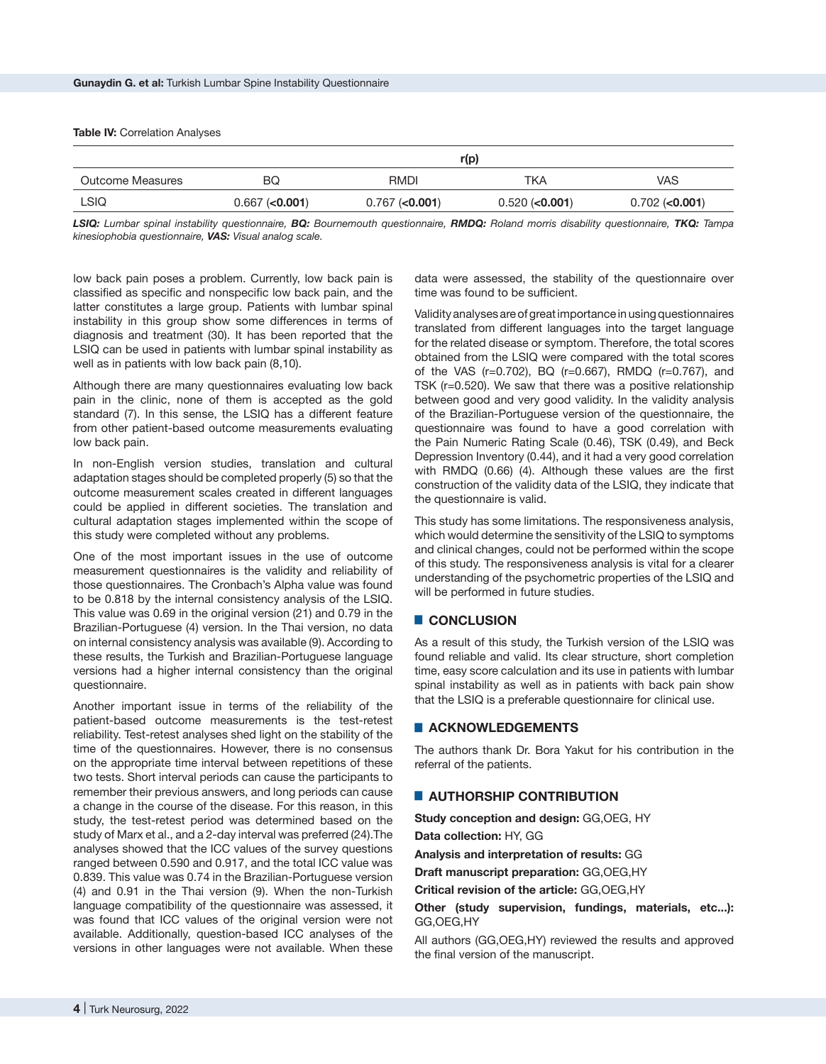#### **Table IV: Correlation Analyses**

|                  | r(p)                |                     |                     |                     |  |
|------------------|---------------------|---------------------|---------------------|---------------------|--|
| Outcome Measures | BQ                  | RMDI                | TKA                 | <b>VAS</b>          |  |
| <b>LSIQ</b>      | $0.667$ ( $0.001$ ) | $0.767$ ( $0.001$ ) | $0.520$ ( $0.001$ ) | $0.702$ ( $0.001$ ) |  |

*LSIQ: Lumbar spinal instability questionnaire, BQ: Bournemouth questionnaire, RMDQ: Roland morris disability questionnaire, TKQ: Tampa kinesiophobia questionnaire, VAS: Visual analog scale.*

low back pain poses a problem. Currently, low back pain is classified as specific and nonspecific low back pain, and the latter constitutes a large group. Patients with lumbar spinal instability in this group show some differences in terms of diagnosis and treatment (30). It has been reported that the LSIQ can be used in patients with lumbar spinal instability as well as in patients with low back pain (8,10).

Although there are many questionnaires evaluating low back pain in the clinic, none of them is accepted as the gold standard (7). In this sense, the LSIQ has a different feature from other patient-based outcome measurements evaluating low back pain.

In non-English version studies, translation and cultural adaptation stages should be completed properly (5) so that the outcome measurement scales created in different languages could be applied in different societies. The translation and cultural adaptation stages implemented within the scope of this study were completed without any problems.

One of the most important issues in the use of outcome measurement questionnaires is the validity and reliability of those questionnaires. The Cronbach's Alpha value was found to be 0.818 by the internal consistency analysis of the LSIQ. This value was 0.69 in the original version (21) and 0.79 in the Brazilian-Portuguese (4) version. In the Thai version, no data on internal consistency analysis was available (9). According to these results, the Turkish and Brazilian-Portuguese language versions had a higher internal consistency than the original questionnaire.

Another important issue in terms of the reliability of the patient-based outcome measurements is the test-retest reliability. Test-retest analyses shed light on the stability of the time of the questionnaires. However, there is no consensus on the appropriate time interval between repetitions of these two tests. Short interval periods can cause the participants to remember their previous answers, and long periods can cause a change in the course of the disease. For this reason, in this study, the test-retest period was determined based on the study of Marx et al., and a 2-day interval was preferred (24).The analyses showed that the ICC values of the survey questions ranged between 0.590 and 0.917, and the total ICC value was 0.839. This value was 0.74 in the Brazilian-Portuguese version (4) and 0.91 in the Thai version (9). When the non-Turkish language compatibility of the questionnaire was assessed, it was found that ICC values of the original version were not available. Additionally, question-based ICC analyses of the versions in other languages were not available. When these data were assessed, the stability of the questionnaire over time was found to be sufficient.

Validity analyses are of great importance in using questionnaires translated from different languages into the target language for the related disease or symptom. Therefore, the total scores obtained from the LSIQ were compared with the total scores of the VAS (r=0.702), BQ (r=0.667), RMDQ (r=0.767), and TSK (r=0.520). We saw that there was a positive relationship between good and very good validity. In the validity analysis of the Brazilian-Portuguese version of the questionnaire, the questionnaire was found to have a good correlation with the Pain Numeric Rating Scale (0.46), TSK (0.49), and Beck Depression Inventory (0.44), and it had a very good correlation with RMDQ (0.66) (4). Although these values are the first construction of the validity data of the LSIQ, they indicate that the questionnaire is valid.

This study has some limitations. The responsiveness analysis, which would determine the sensitivity of the LSIQ to symptoms and clinical changes, could not be performed within the scope of this study. The responsiveness analysis is vital for a clearer understanding of the psychometric properties of the LSIQ and will be performed in future studies.

# █ **CONCLUSION**

As a result of this study, the Turkish version of the LSIQ was found reliable and valid. Its clear structure, short completion time, easy score calculation and its use in patients with lumbar spinal instability as well as in patients with back pain show that the LSIQ is a preferable questionnaire for clinical use.

## █ **ACKNOWLEDGEMENTS**

The authors thank Dr. Bora Yakut for his contribution in the referral of the patients.

# █ **AUTHORSHIP CONTRIBUTION**

**Study conception and design:** GG,OEG, HY

**Data collection:** HY, GG

**Analysis and interpretation of results:** GG

**Draft manuscript preparation:** GG,OEG,HY

**Critical revision of the article:** GG,OEG,HY

## **Other (study supervision, fundings, materials, etc...):** GG,OEG,HY

All authors (GG,OEG,HY) reviewed the results and approved the final version of the manuscript.